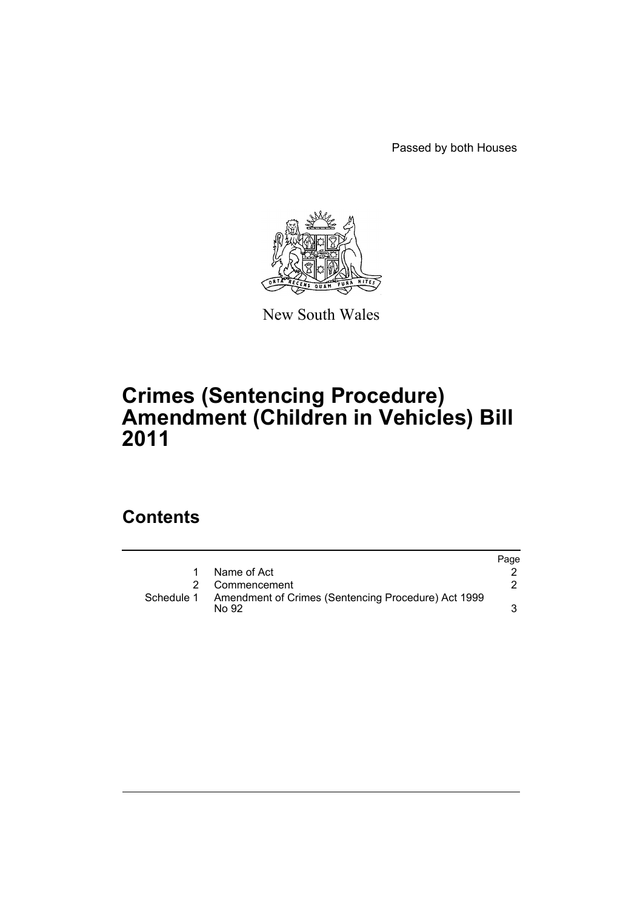Passed by both Houses



New South Wales

## **Crimes (Sentencing Procedure) Amendment (Children in Vehicles) Bill 2011**

## **Contents**

|            |                                                              | Page |
|------------|--------------------------------------------------------------|------|
|            | Name of Act                                                  |      |
|            | Commencement                                                 |      |
| Schedule 1 | Amendment of Crimes (Sentencing Procedure) Act 1999<br>No 92 |      |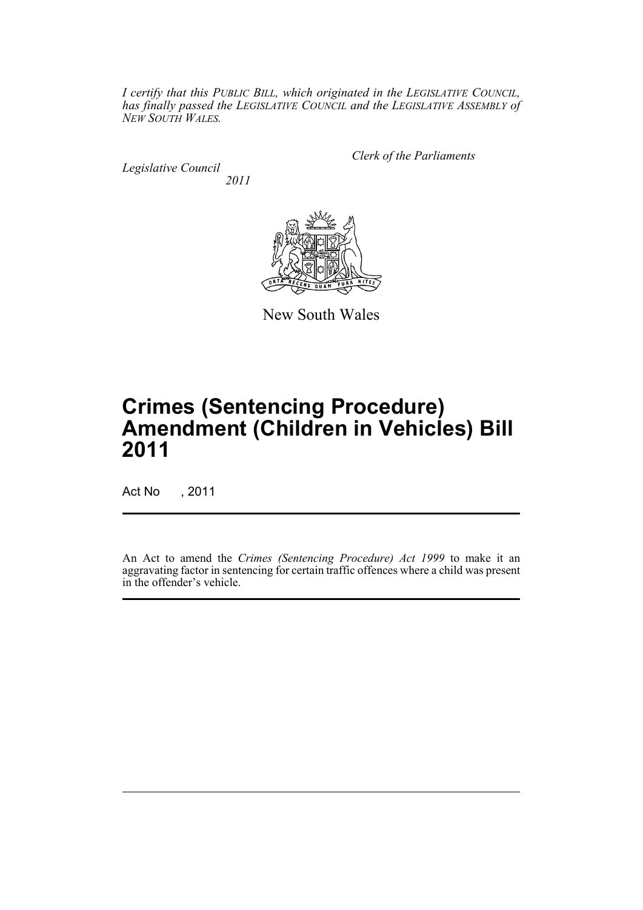*I certify that this PUBLIC BILL, which originated in the LEGISLATIVE COUNCIL, has finally passed the LEGISLATIVE COUNCIL and the LEGISLATIVE ASSEMBLY of NEW SOUTH WALES.*

*Legislative Council 2011* *Clerk of the Parliaments*



New South Wales

# **Crimes (Sentencing Procedure) Amendment (Children in Vehicles) Bill 2011**

Act No , 2011

An Act to amend the *Crimes (Sentencing Procedure) Act 1999* to make it an aggravating factor in sentencing for certain traffic offences where a child was present in the offender's vehicle.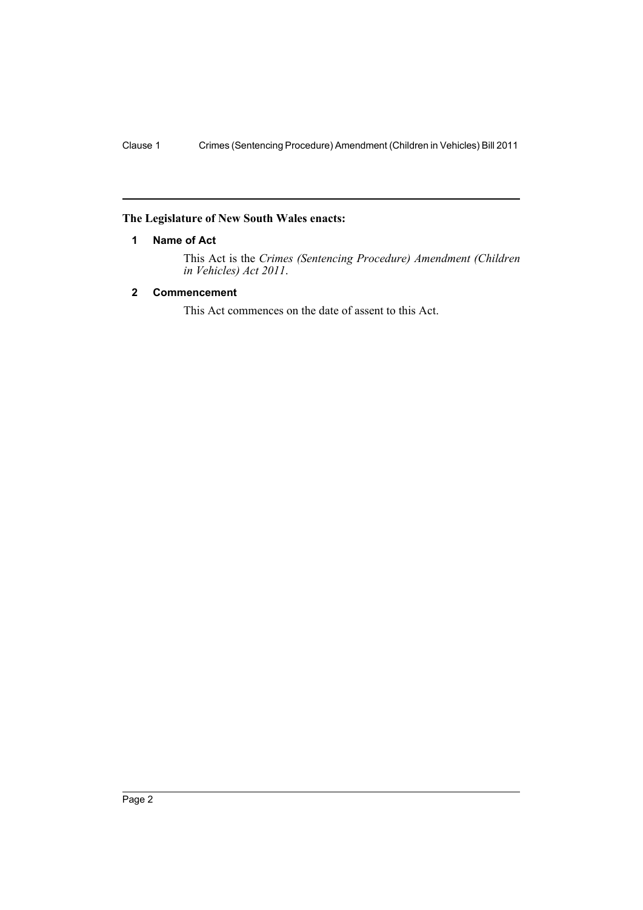## <span id="page-3-0"></span>**The Legislature of New South Wales enacts:**

## **1 Name of Act**

This Act is the *Crimes (Sentencing Procedure) Amendment (Children in Vehicles) Act 2011*.

## <span id="page-3-1"></span>**2 Commencement**

This Act commences on the date of assent to this Act.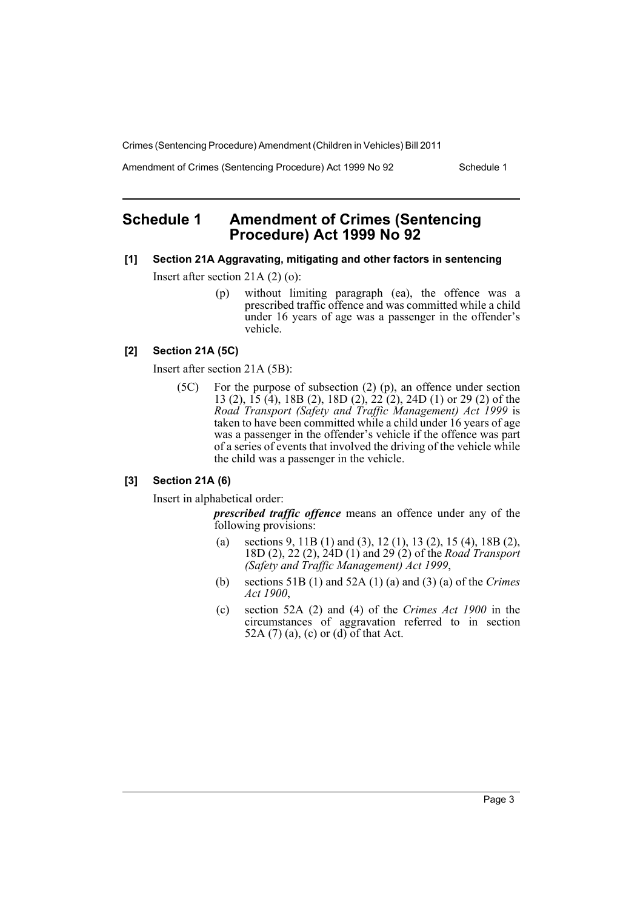Crimes (Sentencing Procedure) Amendment (Children in Vehicles) Bill 2011

Amendment of Crimes (Sentencing Procedure) Act 1999 No 92 Schedule 1

## <span id="page-4-0"></span>**Schedule 1 Amendment of Crimes (Sentencing Procedure) Act 1999 No 92**

#### **[1] Section 21A Aggravating, mitigating and other factors in sentencing**

Insert after section 21A (2) (o):

(p) without limiting paragraph (ea), the offence was a prescribed traffic offence and was committed while a child under 16 years of age was a passenger in the offender's vehicle.

## **[2] Section 21A (5C)**

Insert after section 21A (5B):

(5C) For the purpose of subsection (2) (p), an offence under section 13 (2), 15 (4), 18B (2), 18D (2), 22 (2), 24D (1) or 29 (2) of the *Road Transport (Safety and Traffic Management) Act 1999* is taken to have been committed while a child under 16 years of age was a passenger in the offender's vehicle if the offence was part of a series of events that involved the driving of the vehicle while the child was a passenger in the vehicle.

## **[3] Section 21A (6)**

Insert in alphabetical order:

*prescribed traffic offence* means an offence under any of the following provisions:

- (a) sections 9, 11B (1) and (3), 12 (1), 13 (2), 15 (4), 18B (2), 18D (2), 22 (2), 24D (1) and 29 (2) of the *Road Transport (Safety and Traffic Management) Act 1999*,
- (b) sections 51B (1) and 52A (1) (a) and (3) (a) of the *Crimes Act 1900*,
- (c) section 52A (2) and (4) of the *Crimes Act 1900* in the circumstances of aggravation referred to in section 52A (7) (a), (c) or (d) of that Act.